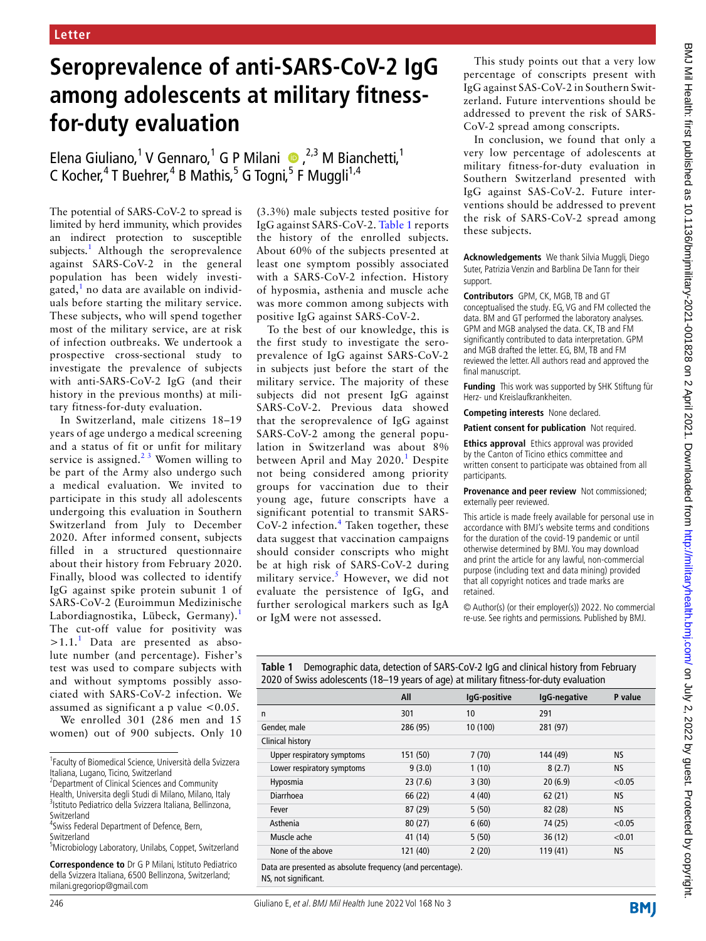## **Seroprevalence of anti-SARS-CoV-2 IgG among adolescents at military fitnessfor-duty evaluation**

Elena Giuliano,<sup>1</sup> V Gennaro,<sup>1</sup> G P Milani  $\bullet$ , <sup>2,3</sup> M Bianchetti,<sup>1</sup> C Kocher,<sup>4</sup> T Buehrer,<sup>4</sup> B Mathis,<sup>5</sup> G Togni,<sup>5</sup> F Muggli<sup>1,4</sup>

The potential of SARS-CoV-2 to spread is limited by herd immunity, which provides an indirect protection to susceptible subjects.<sup>1</sup> Although the seroprevalence against SARS-CoV-2 in the general population has been widely investigated,<sup>1</sup> no data are available on individuals before starting the military service. These subjects, who will spend together most of the military service, are at risk of infection outbreaks. We undertook a prospective cross-sectional study to investigate the prevalence of subjects with anti-SARS-CoV-2 IgG (and their history in the previous months) at military fitness-for-duty evaluation.

In Switzerland, male citizens 18–19 years of age undergo a medical screening and a status of fit or unfit for military service is assigned. $2<sup>3</sup>$  Women willing to be part of the Army also undergo such a medical evaluation. We invited to participate in this study all adolescents undergoing this evaluation in Southern Switzerland from July to December 2020. After informed consent, subjects filled in a structured questionnaire about their history from February 2020. Finally, blood was collected to identify IgG against spike protein subunit 1 of SARS-CoV-2 (Euroimmun Medizinische Labordiagnostika, Lübeck, Germany).<sup>1</sup> The cut-off value for positivity was  $>1.1$ .<sup>1</sup> Data are presented as absolute number (and percentage). Fisher's test was used to compare subjects with and without symptoms possibly associated with SARS-CoV-2 infection. We assumed as significant a p value  $< 0.05$ .

We enrolled 301 (286 men and 15 women) out of 900 subjects. Only 10

Switzerland

<sup>4</sup> Swiss Federal Department of Defence, Bern, Switzerland

5 Microbiology Laboratory, Unilabs, Coppet, Switzerland

(3.3%) male subjects tested positive for IgG against SARS-CoV-2. Table 1 reports the history of the enrolled subjects. About 60% of the subjects presented at least one symptom possibly associated with a SARS-CoV-2 infection. History of hyposmia, asthenia and muscle ache was more common among subjects with positive IgG against SARS-CoV-2.

To the best of our knowledge, this is the first study to investigate the seroprevalence of IgG against SARS-CoV-2 in subjects just before the start of the military service. The majority of these subjects did not present IgG against SARS-CoV-2. Previous data showed that the seroprevalence of IgG against SARS-CoV-2 among the general population in Switzerland was about 8% between April and May 2020.<sup>1</sup> Despite not being considered among priority groups for vaccination due to their young age, future conscripts have a significant potential to transmit SARS- $CoV-2$  infection.<sup>4</sup> Taken together, these data suggest that vaccination campaigns should consider conscripts who might be at high risk of SARS-CoV-2 during military service.<sup>5</sup> However, we did not evaluate the persistence of IgG, and further serological markers such as IgA or IgM were not assessed.

This study points out that a very low percentage of conscripts present with IgG against SAS-CoV-2 in Southern Switzerland. Future interventions should be addressed to prevent the risk of SARS-CoV-2 spread among conscripts.

In conclusion, we found that only a very low percentage of adolescents at military fitness-for-duty evaluation in Southern Switzerland presented with IgG against SAS-CoV-2. Future interventions should be addressed to prevent the risk of SARS-CoV-2 spread among these subjects.

**Acknowledgements** We thank Silvia Muggli, Diego Suter, Patrizia Venzin and Barblina De Tann for their support.

**Contributors** GPM, CK, MGB, TB and GT conceptualised the study. EG, VG and FM collected the data. BM and GT performed the laboratory analyses. GPM and MGB analysed the data. CK, TB and FM significantly contributed to data interpretation. GPM and MGB drafted the letter. EG, BM, TB and FM reviewed the letter. All authors read and approved the final manuscript.

**Funding** This work was supported by SHK Stiftung für Herz- und Kreislaufkrankheiten.

**Competing interests** None declared.

**Patient consent for publication** Not required.

**Ethics approval** Ethics approval was provided by the Canton of Ticino ethics committee and written consent to participate was obtained from all participants.

**Provenance and peer review** Not commissioned; externally peer reviewed.

This article is made freely available for personal use in accordance with BMJ's website terms and conditions for the duration of the covid-19 pandemic or until otherwise determined by BMJ. You may download and print the article for any lawful, non-commercial purpose (including text and data mining) provided that all copyright notices and trade marks are retained.

© Author(s) (or their employer(s)) 2022. No commercial re-use. See rights and permissions. Published by BMJ.

**Table 1** Demographic data, detection of SARS-CoV-2 IgG and clinical history from February 2020 of Swiss adolescents (18–19 years of age) at military fitness-for-duty evaluation

|                                                                           | All      | IgG-positive | IgG-negative | P value   |
|---------------------------------------------------------------------------|----------|--------------|--------------|-----------|
| n                                                                         | 301      | 10           | 291          |           |
| Gender, male                                                              | 286 (95) | 10 (100)     | 281 (97)     |           |
| Clinical history                                                          |          |              |              |           |
| Upper respiratory symptoms                                                | 151 (50) | 7(70)        | 144 (49)     | <b>NS</b> |
| Lower respiratory symptoms                                                | 9(3.0)   | 1(10)        | 8(2.7)       | <b>NS</b> |
| Hyposmia                                                                  | 23(7.6)  | 3(30)        | 20(6.9)      | < 0.05    |
| Diarrhoea                                                                 | 66 (22)  | 4(40)        | 62(21)       | <b>NS</b> |
| Fever                                                                     | 87(29)   | 5(50)        | 82 (28)      | <b>NS</b> |
| Asthenia                                                                  | 80(27)   | 6(60)        | 74 (25)      | < 0.05    |
| Muscle ache                                                               | 41 (14)  | 5(50)        | 36(12)       | < 0.01    |
| None of the above                                                         | 121 (40) | 2(20)        | 119 (41)     | <b>NS</b> |
| Deske som over en skeller i skelles. De men over 1. oktober 2000 verkende |          |              |              |           |

Data are presented as absolute frequency (and percentage). NS, not significant.

**BMI** 

<sup>1</sup> Faculty of Biomedical Science, Università della Svizzera Italiana, Lugano, Ticino, Switzerland

<sup>&</sup>lt;sup>2</sup> Department of Clinical Sciences and Community Health, Universita degli Studi di Milano, Milano, Italy 3 Istituto Pediatrico della Svizzera Italiana, Bellinzona,

**Correspondence to** Dr G P Milani, Istituto Pediatrico della Svizzera Italiana, 6500 Bellinzona, Switzerland; milani.gregoriop@gmail.com